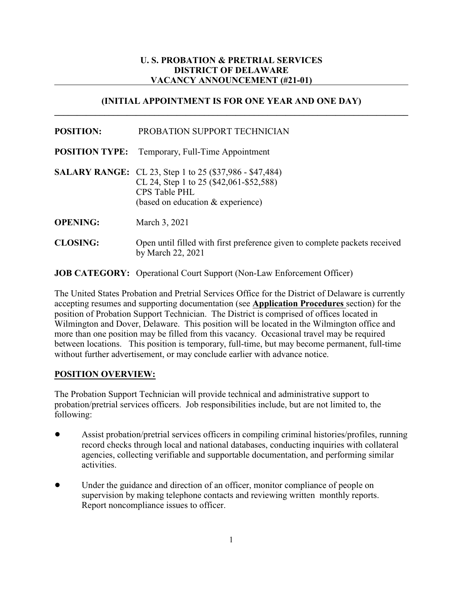# **U. S. PROBATION & PRETRIAL SERVICES DISTRICT OF DELAWARE VACANCY ANNOUNCEMENT (#21-01)**

# **(INITIAL APPOINTMENT IS FOR ONE YEAR AND ONE DAY) \_\_\_\_\_\_\_\_\_\_\_\_\_\_\_\_\_\_\_\_\_\_\_\_\_\_\_\_\_\_\_\_\_\_\_\_\_\_\_\_\_\_\_\_\_\_\_\_\_\_\_\_\_\_\_\_\_\_\_\_\_\_\_\_\_\_\_\_\_\_\_\_\_\_\_\_\_\_**

| <b>POSITION:</b> | PROBATION SUPPORT TECHNICIAN |
|------------------|------------------------------|
|                  |                              |

- **POSITION TYPE:** Temporary, Full-Time Appointment
- **SALARY RANGE:** CL 23, Step 1 to 25 (\$37,986 \$47,484) CL 24, Step 1 to 25 (\$42,061-\$52,588) CPS Table PHL (based on education & experience)
- **OPENING:** March 3, 2021
- **CLOSING:** Open until filled with first preference given to complete packets received by March 22, 2021

**JOB CATEGORY:** Operational Court Support (Non-Law Enforcement Officer)

The United States Probation and Pretrial Services Office for the District of Delaware is currently accepting resumes and supporting documentation (see **Application Procedures** section) for the position of Probation Support Technician. The District is comprised of offices located in Wilmington and Dover, Delaware. This position will be located in the Wilmington office and more than one position may be filled from this vacancy. Occasional travel may be required between locations. This position is temporary, full-time, but may become permanent, full-time without further advertisement, or may conclude earlier with advance notice.

# **POSITION OVERVIEW:**

The Probation Support Technician will provide technical and administrative support to probation/pretrial services officers. Job responsibilities include, but are not limited to, the following:

- ! Assist probation/pretrial services officers in compiling criminal histories/profiles, running record checks through local and national databases, conducting inquiries with collateral agencies, collecting verifiable and supportable documentation, and performing similar activities.
- Under the guidance and direction of an officer, monitor compliance of people on supervision by making telephone contacts and reviewing written monthly reports. Report noncompliance issues to officer.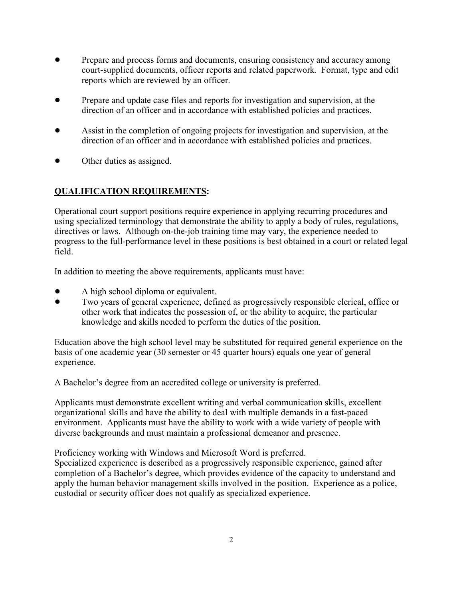- ! Prepare and process forms and documents, ensuring consistency and accuracy among court-supplied documents, officer reports and related paperwork. Format, type and edit reports which are reviewed by an officer.
- ! Prepare and update case files and reports for investigation and supervision, at the direction of an officer and in accordance with established policies and practices.
- ! Assist in the completion of ongoing projects for investigation and supervision, at the direction of an officer and in accordance with established policies and practices.
- Other duties as assigned.

# **QUALIFICATION REQUIREMENTS:**

Operational court support positions require experience in applying recurring procedures and using specialized terminology that demonstrate the ability to apply a body of rules, regulations, directives or laws. Although on-the-job training time may vary, the experience needed to progress to the full-performance level in these positions is best obtained in a court or related legal field.

In addition to meeting the above requirements, applicants must have:

- A high school diploma or equivalent.
- ! Two years of general experience, defined as progressively responsible clerical, office or other work that indicates the possession of, or the ability to acquire, the particular knowledge and skills needed to perform the duties of the position.

Education above the high school level may be substituted for required general experience on the basis of one academic year (30 semester or 45 quarter hours) equals one year of general experience.

A Bachelor's degree from an accredited college or university is preferred.

Applicants must demonstrate excellent writing and verbal communication skills, excellent organizational skills and have the ability to deal with multiple demands in a fast-paced environment. Applicants must have the ability to work with a wide variety of people with diverse backgrounds and must maintain a professional demeanor and presence.

Proficiency working with Windows and Microsoft Word is preferred. Specialized experience is described as a progressively responsible experience, gained after

completion of a Bachelor's degree, which provides evidence of the capacity to understand and apply the human behavior management skills involved in the position. Experience as a police, custodial or security officer does not qualify as specialized experience.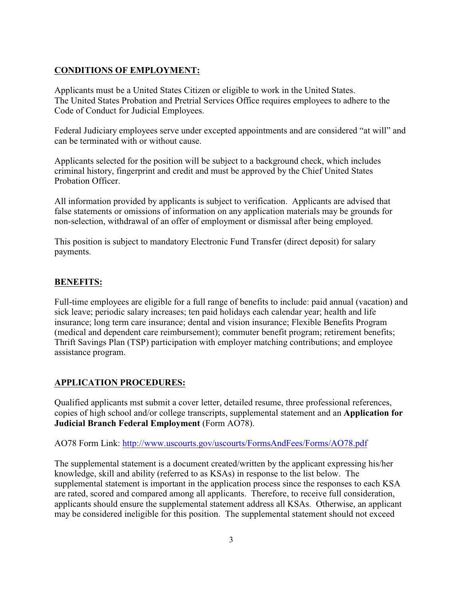# **CONDITIONS OF EMPLOYMENT:**

Applicants must be a United States Citizen or eligible to work in the United States. The United States Probation and Pretrial Services Office requires employees to adhere to the Code of Conduct for Judicial Employees.

Federal Judiciary employees serve under excepted appointments and are considered "at will" and can be terminated with or without cause.

Applicants selected for the position will be subject to a background check, which includes criminal history, fingerprint and credit and must be approved by the Chief United States Probation Officer.

All information provided by applicants is subject to verification. Applicants are advised that false statements or omissions of information on any application materials may be grounds for non-selection, withdrawal of an offer of employment or dismissal after being employed.

This position is subject to mandatory Electronic Fund Transfer (direct deposit) for salary payments.

#### **BENEFITS:**

Full-time employees are eligible for a full range of benefits to include: paid annual (vacation) and sick leave; periodic salary increases; ten paid holidays each calendar year; health and life insurance; long term care insurance; dental and vision insurance; Flexible Benefits Program (medical and dependent care reimbursement); commuter benefit program; retirement benefits; Thrift Savings Plan (TSP) participation with employer matching contributions; and employee assistance program.

# **APPLICATION PROCEDURES:**

Qualified applicants mst submit a cover letter, detailed resume, three professional references, copies of high school and/or college transcripts, supplemental statement and an **Application for Judicial Branch Federal Employment** (Form AO78).

AO78 Form Link: [http://www.uscourts.gov/uscourts/FormsAndFees/Forms/AO78.pdf](http://www.uscourts.gov/forms/human-resources-forms/application-judicial-branch-federal-employment)

The supplemental statement is a document created/written by the applicant expressing his/her knowledge, skill and ability (referred to as KSAs) in response to the list below. The supplemental statement is important in the application process since the responses to each KSA are rated, scored and compared among all applicants. Therefore, to receive full consideration, applicants should ensure the supplemental statement address all KSAs. Otherwise, an applicant may be considered ineligible for this position. The supplemental statement should not exceed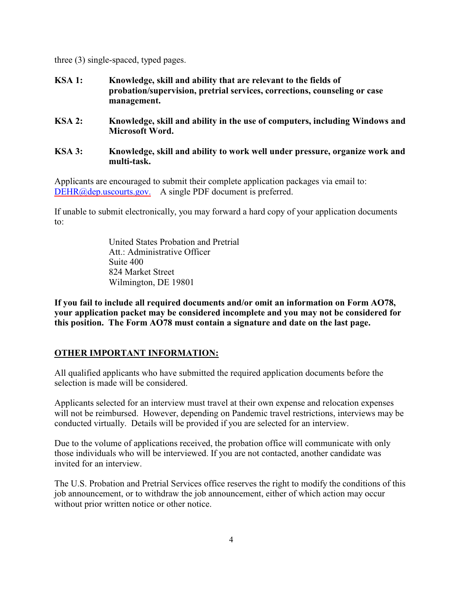three (3) single-spaced, typed pages.

- **KSA 1: Knowledge, skill and ability that are relevant to the fields of probation/supervision, pretrial services, corrections, counseling or case management.**
- **KSA 2: Knowledge, skill and ability in the use of computers, including Windows and Microsoft Word.**
- **KSA 3: Knowledge, skill and ability to work well under pressure, organize work and multi-task.**

Applicants are encouraged to submit their complete application packages via email to: [DEHR@dep.uscourts.gov.](mailto:DEHR@dep.uscourts.gov.) A single PDF document is preferred.

If unable to submit electronically, you may forward a hard copy of your application documents to:

> United States Probation and Pretrial Att · Administrative Officer Suite 400 824 Market Street Wilmington, DE 19801

**If you fail to include all required documents and/or omit an information on Form AO78, your application packet may be considered incomplete and you may not be considered for this position. The Form AO78 must contain a signature and date on the last page.** 

# **OTHER IMPORTANT INFORMATION:**

All qualified applicants who have submitted the required application documents before the selection is made will be considered.

Applicants selected for an interview must travel at their own expense and relocation expenses will not be reimbursed. However, depending on Pandemic travel restrictions, interviews may be conducted virtually. Details will be provided if you are selected for an interview.

Due to the volume of applications received, the probation office will communicate with only those individuals who will be interviewed. If you are not contacted, another candidate was invited for an interview.

The U.S. Probation and Pretrial Services office reserves the right to modify the conditions of this job announcement, or to withdraw the job announcement, either of which action may occur without prior written notice or other notice.